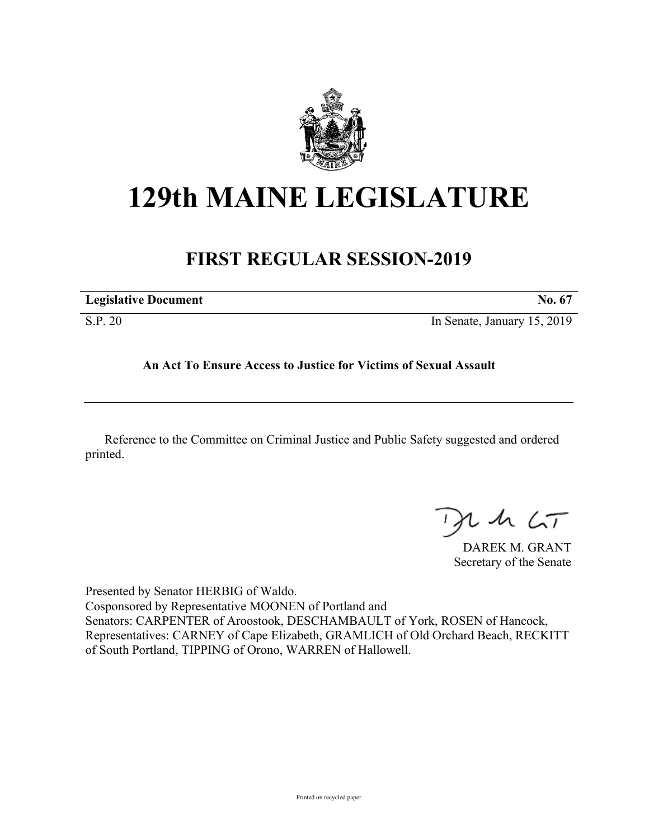

## **129th MAINE LEGISLATURE**

## **FIRST REGULAR SESSION-2019**

| <b>Legislative Document</b> | No. 67                      |
|-----------------------------|-----------------------------|
| S.P. 20                     | In Senate, January 15, 2019 |

## **An Act To Ensure Access to Justice for Victims of Sexual Assault**

Reference to the Committee on Criminal Justice and Public Safety suggested and ordered printed.

 $115$ 

DAREK M. GRANT Secretary of the Senate

Presented by Senator HERBIG of Waldo. Cosponsored by Representative MOONEN of Portland and Senators: CARPENTER of Aroostook, DESCHAMBAULT of York, ROSEN of Hancock, Representatives: CARNEY of Cape Elizabeth, GRAMLICH of Old Orchard Beach, RECKITT of South Portland, TIPPING of Orono, WARREN of Hallowell.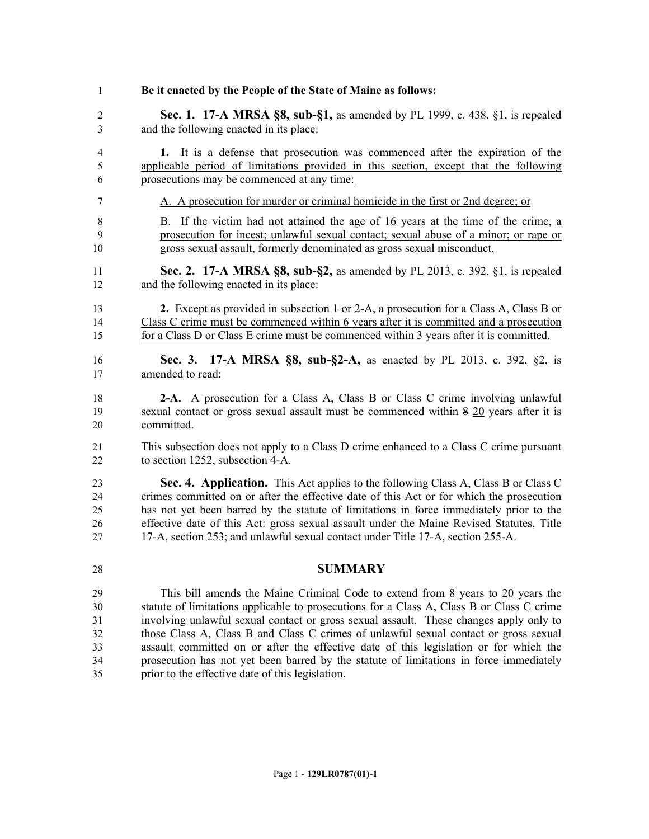**Be it enacted by the People of the State of Maine as follows: Sec. 1. 17-A MRSA §8, sub-§1,** as amended by PL 1999, c. 438, §1, is repealed and the following enacted in its place: **1.** It is a defense that prosecution was commenced after the expiration of the applicable period of limitations provided in this section, except that the following prosecutions may be commenced at any time: A. A prosecution for murder or criminal homicide in the first or 2nd degree; or B. If the victim had not attained the age of 16 years at the time of the crime, a prosecution for incest; unlawful sexual contact; sexual abuse of a minor; or rape or gross sexual assault, formerly denominated as gross sexual misconduct. **Sec. 2. 17-A MRSA §8, sub-§2,** as amended by PL 2013, c. 392, §1, is repealed and the following enacted in its place: **2.** Except as provided in subsection 1 or 2-A, a prosecution for a Class A, Class B or Class C crime must be commenced within 6 years after it is committed and a prosecution for a Class D or Class E crime must be commenced within 3 years after it is committed. **Sec. 3. 17-A MRSA §8, sub-§2-A,** as enacted by PL 2013, c. 392, §2, is amended to read: **2-A.** A prosecution for a Class A, Class B or Class C crime involving unlawful sexual contact or gross sexual assault must be commenced within 8 20 years after it is committed. This subsection does not apply to a Class D crime enhanced to a Class C crime pursuant to section 1252, subsection 4-A. **Sec. 4. Application.** This Act applies to the following Class A, Class B or Class C crimes committed on or after the effective date of this Act or for which the prosecution has not yet been barred by the statute of limitations in force immediately prior to the effective date of this Act: gross sexual assault under the Maine Revised Statutes, Title 17-A, section 253; and unlawful sexual contact under Title 17-A, section 255-A. **SUMMARY** This bill amends the Maine Criminal Code to extend from 8 years to 20 years the statute of limitations applicable to prosecutions for a Class A, Class B or Class C crime involving unlawful sexual contact or gross sexual assault. These changes apply only to those Class A, Class B and Class C crimes of unlawful sexual contact or gross sexual assault committed on or after the effective date of this legislation or for which the prosecution has not yet been barred by the statute of limitations in force immediately prior to the effective date of this legislation.